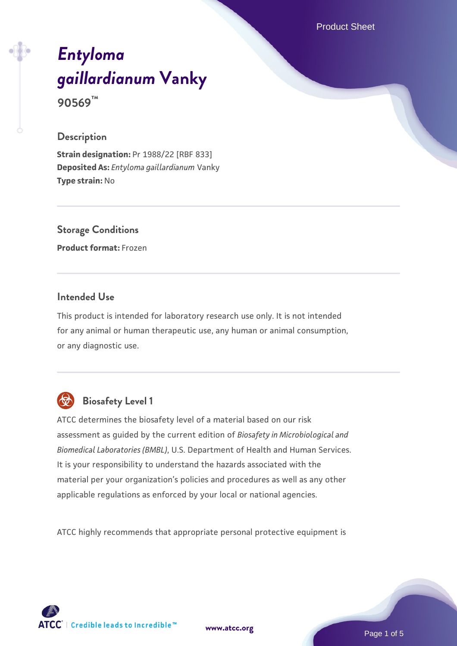Product Sheet

# *[Entyloma](https://www.atcc.org/products/90569) [gaillardianum](https://www.atcc.org/products/90569)* **[Vanky](https://www.atcc.org/products/90569)**

**90569™**

### **Description**

**Strain designation:** Pr 1988/22 [RBF 833] **Deposited As:** *Entyloma gaillardianum* Vanky **Type strain:** No

# **Storage Conditions**

**Product format:** Frozen

#### **Intended Use**

This product is intended for laboratory research use only. It is not intended for any animal or human therapeutic use, any human or animal consumption, or any diagnostic use.



# **Biosafety Level 1**

ATCC determines the biosafety level of a material based on our risk assessment as guided by the current edition of *Biosafety in Microbiological and Biomedical Laboratories (BMBL)*, U.S. Department of Health and Human Services. It is your responsibility to understand the hazards associated with the material per your organization's policies and procedures as well as any other applicable regulations as enforced by your local or national agencies.

ATCC highly recommends that appropriate personal protective equipment is

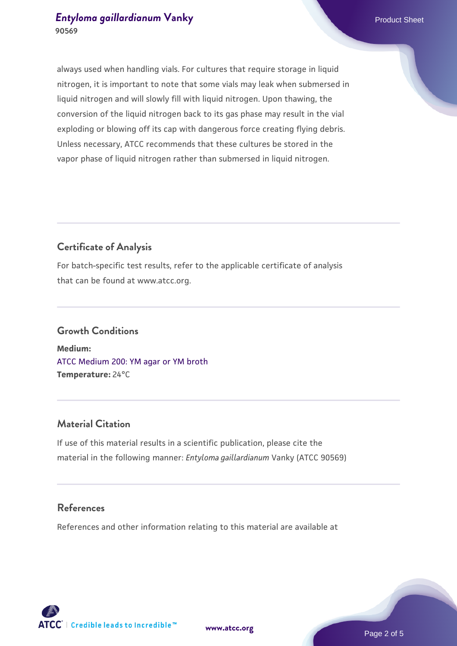### **[Entyloma gaillardianum](https://www.atcc.org/products/90569) [Vanky](https://www.atcc.org/products/90569)** Product Sheet **90569**

always used when handling vials. For cultures that require storage in liquid nitrogen, it is important to note that some vials may leak when submersed in liquid nitrogen and will slowly fill with liquid nitrogen. Upon thawing, the conversion of the liquid nitrogen back to its gas phase may result in the vial exploding or blowing off its cap with dangerous force creating flying debris. Unless necessary, ATCC recommends that these cultures be stored in the vapor phase of liquid nitrogen rather than submersed in liquid nitrogen.

# **Certificate of Analysis**

For batch-specific test results, refer to the applicable certificate of analysis that can be found at www.atcc.org.

# **Growth Conditions**

**Medium:**  [ATCC Medium 200: YM agar or YM broth](https://www.atcc.org/-/media/product-assets/documents/microbial-media-formulations/2/0/0/atcc-medium-200.pdf?rev=ac40fd74dc13433a809367b0b9da30fc) **Temperature:** 24°C

# **Material Citation**

If use of this material results in a scientific publication, please cite the material in the following manner: *Entyloma gaillardianum* Vanky (ATCC 90569)

# **References**

References and other information relating to this material are available at





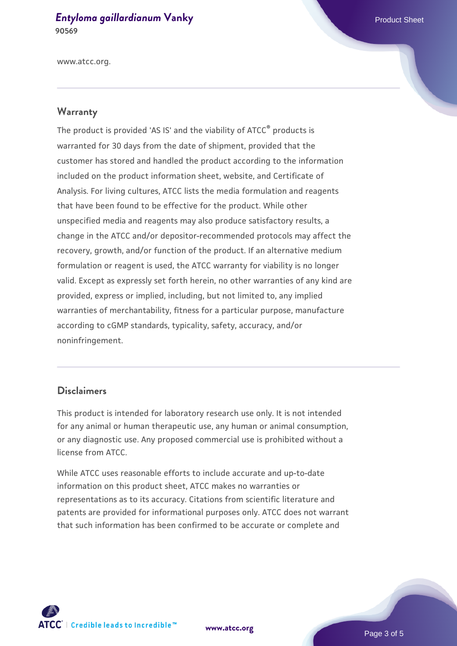#### **[Entyloma gaillardianum](https://www.atcc.org/products/90569) [Vanky](https://www.atcc.org/products/90569)** Product Sheet **90569**

www.atcc.org.

#### **Warranty**

The product is provided 'AS IS' and the viability of ATCC® products is warranted for 30 days from the date of shipment, provided that the customer has stored and handled the product according to the information included on the product information sheet, website, and Certificate of Analysis. For living cultures, ATCC lists the media formulation and reagents that have been found to be effective for the product. While other unspecified media and reagents may also produce satisfactory results, a change in the ATCC and/or depositor-recommended protocols may affect the recovery, growth, and/or function of the product. If an alternative medium formulation or reagent is used, the ATCC warranty for viability is no longer valid. Except as expressly set forth herein, no other warranties of any kind are provided, express or implied, including, but not limited to, any implied warranties of merchantability, fitness for a particular purpose, manufacture according to cGMP standards, typicality, safety, accuracy, and/or noninfringement.

#### **Disclaimers**

This product is intended for laboratory research use only. It is not intended for any animal or human therapeutic use, any human or animal consumption, or any diagnostic use. Any proposed commercial use is prohibited without a license from ATCC.

While ATCC uses reasonable efforts to include accurate and up-to-date information on this product sheet, ATCC makes no warranties or representations as to its accuracy. Citations from scientific literature and patents are provided for informational purposes only. ATCC does not warrant that such information has been confirmed to be accurate or complete and



**[www.atcc.org](http://www.atcc.org)**

Page 3 of 5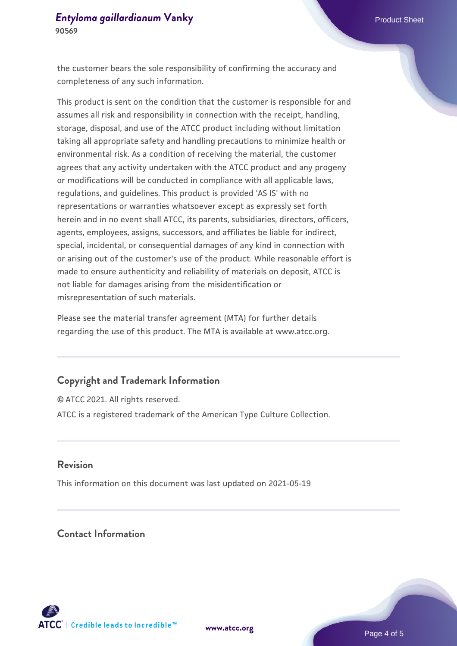the customer bears the sole responsibility of confirming the accuracy and completeness of any such information.

This product is sent on the condition that the customer is responsible for and assumes all risk and responsibility in connection with the receipt, handling, storage, disposal, and use of the ATCC product including without limitation taking all appropriate safety and handling precautions to minimize health or environmental risk. As a condition of receiving the material, the customer agrees that any activity undertaken with the ATCC product and any progeny or modifications will be conducted in compliance with all applicable laws, regulations, and guidelines. This product is provided 'AS IS' with no representations or warranties whatsoever except as expressly set forth herein and in no event shall ATCC, its parents, subsidiaries, directors, officers, agents, employees, assigns, successors, and affiliates be liable for indirect, special, incidental, or consequential damages of any kind in connection with or arising out of the customer's use of the product. While reasonable effort is made to ensure authenticity and reliability of materials on deposit, ATCC is not liable for damages arising from the misidentification or misrepresentation of such materials.

Please see the material transfer agreement (MTA) for further details regarding the use of this product. The MTA is available at www.atcc.org.

#### **Copyright and Trademark Information**

© ATCC 2021. All rights reserved. ATCC is a registered trademark of the American Type Culture Collection.

#### **Revision**

This information on this document was last updated on 2021-05-19

# **Contact Information**